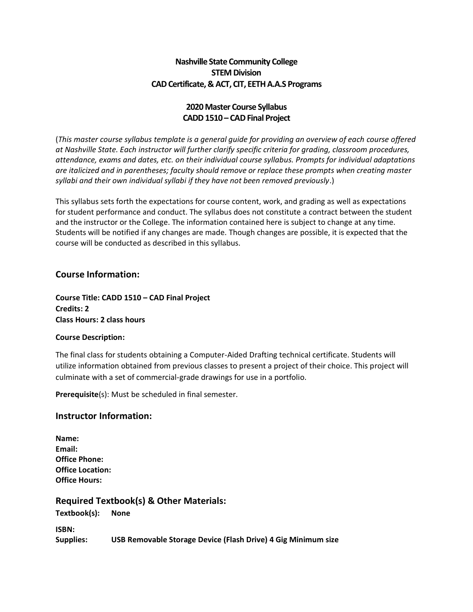### **Nashville State Community College STEM Division CAD Certificate, & ACT, CIT, EETH A.A.S Programs**

## **2020Master Course Syllabus CADD 1510 – CAD Final Project**

(*This master course syllabus template is a general guide for providing an overview of each course offered at Nashville State. Each instructor will further clarify specific criteria for grading, classroom procedures, attendance, exams and dates, etc. on their individual course syllabus. Prompts for individual adaptations are italicized and in parentheses; faculty should remove or replace these prompts when creating master syllabi and their own individual syllabi if they have not been removed previously*.)

This syllabus sets forth the expectations for course content, work, and grading as well as expectations for student performance and conduct. The syllabus does not constitute a contract between the student and the instructor or the College. The information contained here is subject to change at any time. Students will be notified if any changes are made. Though changes are possible, it is expected that the course will be conducted as described in this syllabus.

### **Course Information:**

**Course Title: CADD 1510 – CAD Final Project Credits: 2 Class Hours: 2 class hours**

#### **Course Description:**

The final class for students obtaining a Computer-Aided Drafting technical certificate. Students will utilize information obtained from previous classes to present a project of their choice. This project will culminate with a set of commercial-grade drawings for use in a portfolio.

**Prerequisite**(s): Must be scheduled in final semester.

#### **Instructor Information:**

| Name:                   |
|-------------------------|
| Email:                  |
| <b>Office Phone:</b>    |
| <b>Office Location:</b> |
| <b>Office Hours:</b>    |

**Required Textbook(s) & Other Materials:**

**Textbook(s): None**

**ISBN: Supplies: USB Removable Storage Device (Flash Drive) 4 Gig Minimum size**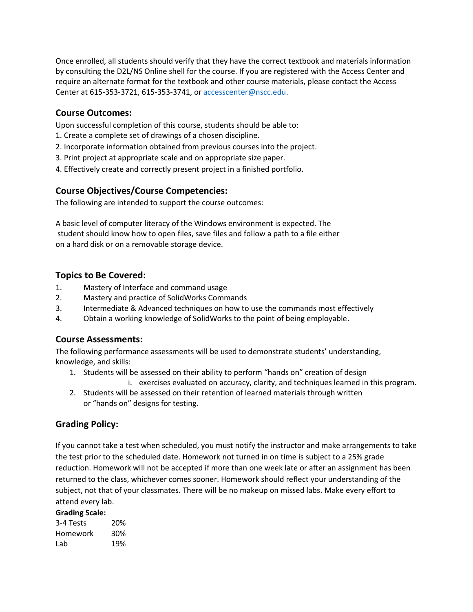Once enrolled, all students should verify that they have the correct textbook and materials information by consulting the D2L/NS Online shell for the course. If you are registered with the Access Center and require an alternate format for the textbook and other course materials, please contact the Access Center at 615-353-3721, 615-353-3741, or [accesscenter@nscc.edu.](about:blank)

### **Course Outcomes:**

Upon successful completion of this course, students should be able to:

- 1. Create a complete set of drawings of a chosen discipline.
- 2. Incorporate information obtained from previous courses into the project.
- 3. Print project at appropriate scale and on appropriate size paper.
- 4. Effectively create and correctly present project in a finished portfolio.

### **Course Objectives/Course Competencies:**

The following are intended to support the course outcomes:

A basic level of computer literacy of the Windows environment is expected. The student should know how to open files, save files and follow a path to a file either on a hard disk or on a removable storage device.

### **Topics to Be Covered:**

- 1. Mastery of Interface and command usage
- 2. Mastery and practice of SolidWorks Commands
- 3. Intermediate & Advanced techniques on how to use the commands most effectively
- 4. Obtain a working knowledge of SolidWorks to the point of being employable.

#### **Course Assessments:**

The following performance assessments will be used to demonstrate students' understanding, knowledge, and skills:

- 1. Students will be assessed on their ability to perform "hands on" creation of design i. exercises evaluated on accuracy, clarity, and techniques learned in this program.
- 2. Students will be assessed on their retention of learned materials through written or "hands on" designs for testing.

## **Grading Policy:**

If you cannot take a test when scheduled, you must notify the instructor and make arrangements to take the test prior to the scheduled date. Homework not turned in on time is subject to a 25% grade reduction. Homework will not be accepted if more than one week late or after an assignment has been returned to the class, whichever comes sooner. Homework should reflect your understanding of the subject, not that of your classmates. There will be no makeup on missed labs. Make every effort to attend every lab.

#### **Grading Scale:**

| 3-4 Tests | 20% |
|-----------|-----|
| Homework  | 30% |
| Lab       | 19% |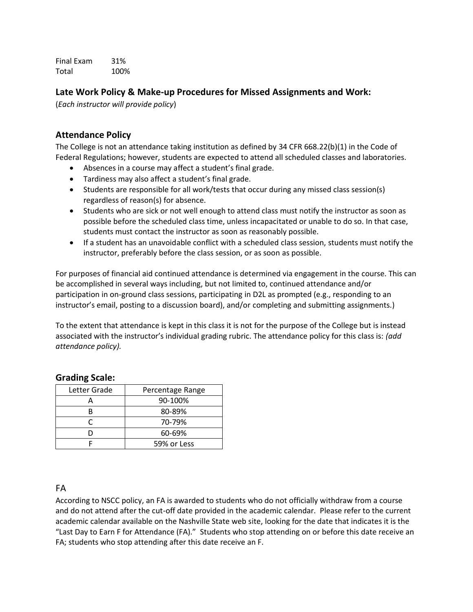Final Exam 31% Total 100%

### **Late Work Policy & Make-up Procedures for Missed Assignments and Work:**

(*Each instructor will provide policy*)

### **Attendance Policy**

The College is not an attendance taking institution as defined by 34 CFR 668.22(b)(1) in the Code of Federal Regulations; however, students are expected to attend all scheduled classes and laboratories.

- Absences in a course may affect a student's final grade.
- Tardiness may also affect a student's final grade.
- Students are responsible for all work/tests that occur during any missed class session(s) regardless of reason(s) for absence.
- Students who are sick or not well enough to attend class must notify the instructor as soon as possible before the scheduled class time, unless incapacitated or unable to do so. In that case, students must contact the instructor as soon as reasonably possible.
- If a student has an unavoidable conflict with a scheduled class session, students must notify the instructor, preferably before the class session, or as soon as possible.

For purposes of financial aid continued attendance is determined via engagement in the course. This can be accomplished in several ways including, but not limited to, continued attendance and/or participation in on-ground class sessions, participating in D2L as prompted (e.g., responding to an instructor's email, posting to a discussion board), and/or completing and submitting assignments.)

To the extent that attendance is kept in this class it is not for the purpose of the College but is instead associated with the instructor's individual grading rubric. The attendance policy for this class is: *(add attendance policy).*

| Letter Grade | Percentage Range |
|--------------|------------------|
|              | 90-100%          |
|              | 80-89%           |
|              | 70-79%           |
|              | 60-69%           |
|              | 59% or Less      |

## **Grading Scale:**

#### FA

According to NSCC policy, an FA is awarded to students who do not officially withdraw from a course and do not attend after the cut-off date provided in the academic calendar. Please refer to the current academic calendar available on the Nashville State web site, looking for the date that indicates it is the "Last Day to Earn F for Attendance (FA)." Students who stop attending on or before this date receive an FA; students who stop attending after this date receive an F.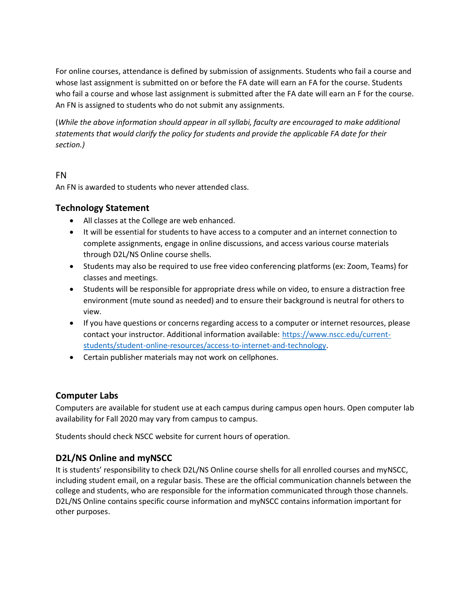For online courses, attendance is defined by submission of assignments. Students who fail a course and whose last assignment is submitted on or before the FA date will earn an FA for the course. Students who fail a course and whose last assignment is submitted after the FA date will earn an F for the course. An FN is assigned to students who do not submit any assignments.

(*While the above information should appear in all syllabi, faculty are encouraged to make additional statements that would clarify the policy for students and provide the applicable FA date for their section.)*

## FN

An FN is awarded to students who never attended class.

## **Technology Statement**

- All classes at the College are web enhanced.
- It will be essential for students to have access to a computer and an internet connection to complete assignments, engage in online discussions, and access various course materials through D2L/NS Online course shells.
- Students may also be required to use free video conferencing platforms (ex: Zoom, Teams) for classes and meetings.
- Students will be responsible for appropriate dress while on video, to ensure a distraction free environment (mute sound as needed) and to ensure their background is neutral for others to view.
- If you have questions or concerns regarding access to a computer or internet resources, please contact your instructor. Additional information available: [https://www.nscc.edu/current](about:blank)[students/student-online-resources/access-to-internet-and-technology.](about:blank)
- Certain publisher materials may not work on cellphones.

## **Computer Labs**

Computers are available for student use at each campus during campus open hours. Open computer lab availability for Fall 2020 may vary from campus to campus.

Students should check NSCC website for current hours of operation.

# **D2L/NS Online and myNSCC**

It is students' responsibility to check D2L/NS Online course shells for all enrolled courses and myNSCC, including student email, on a regular basis. These are the official communication channels between the college and students, who are responsible for the information communicated through those channels. D2L/NS Online contains specific course information and myNSCC contains information important for other purposes.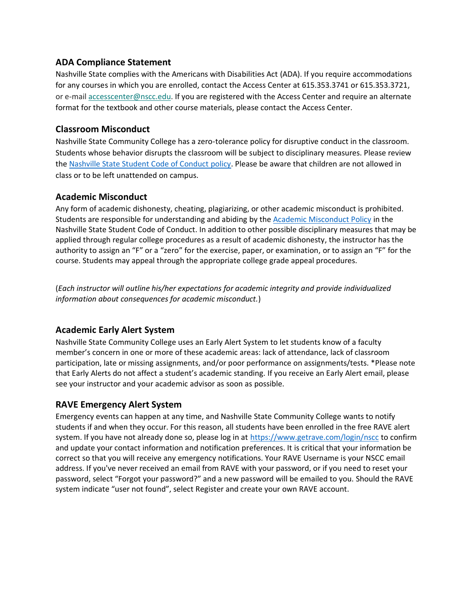### **ADA Compliance Statement**

Nashville State complies with the Americans with Disabilities Act (ADA). If you require accommodations for any courses in which you are enrolled, contact the Access Center at 615.353.3741 or 615.353.3721, or e-mail [accesscenter@nscc.edu.](about:blank) If you are registered with the Access Center and require an alternate format for the textbook and other course materials, please contact the Access Center.

#### **Classroom Misconduct**

Nashville State Community College has a zero-tolerance policy for disruptive conduct in the classroom. Students whose behavior disrupts the classroom will be subject to disciplinary measures. Please review th[e Nashville State Student Code of Conduct policy.](about:blank) Please be aware that children are not allowed in class or to be left unattended on campus.

### **Academic Misconduct**

Any form of academic dishonesty, cheating, plagiarizing, or other academic misconduct is prohibited. Students are responsible for understanding and abiding by th[e Academic Misconduct Policy](about:blank) in the Nashville State Student Code of Conduct. In addition to other possible disciplinary measures that may be applied through regular college procedures as a result of academic dishonesty, the instructor has the authority to assign an "F" or a "zero" for the exercise, paper, or examination, or to assign an "F" for the course. Students may appeal through the appropriate college grade appeal procedures.

(*Each instructor will outline his/her expectations for academic integrity and provide individualized information about consequences for academic misconduct.*)

## **Academic Early Alert System**

Nashville State Community College uses an Early Alert System to let students know of a faculty member's concern in one or more of these academic areas: lack of attendance, lack of classroom participation, late or missing assignments, and/or poor performance on assignments/tests. \*Please note that Early Alerts do not affect a student's academic standing. If you receive an Early Alert email, please see your instructor and your academic advisor as soon as possible.

## **RAVE Emergency Alert System**

Emergency events can happen at any time, and Nashville State Community College wants to notify students if and when they occur. For this reason, all students have been enrolled in the free RAVE alert system. If you have not already done so, please log in at [https://www.getrave.com/login/nscc](about:blank) to confirm and update your contact information and notification preferences. It is critical that your information be correct so that you will receive any emergency notifications. Your RAVE Username is your NSCC email address. If you've never received an email from RAVE with your password, or if you need to reset your password, select "Forgot your password?" and a new password will be emailed to you. Should the RAVE system indicate "user not found", select Register and create your own RAVE account.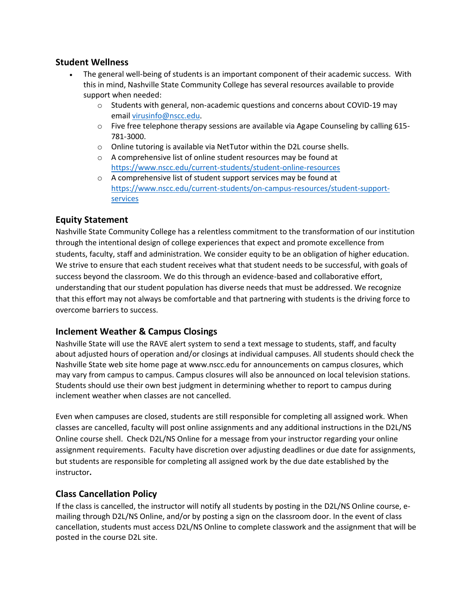### **Student Wellness**

- The general well-being of students is an important component of their academic success. With this in mind, Nashville State Community College has several resources available to provide support when needed:
	- $\circ$  Students with general, non-academic questions and concerns about COVID-19 may email [virusinfo@nscc.edu](about:blank).
	- $\circ$  Five free telephone therapy sessions are available via Agape Counseling by calling 615-781-3000.
	- $\circ$  Online tutoring is available via NetTutor within the D2L course shells.
	- o A comprehensive list of online student resources may be found at [https://www.nscc.edu/current-students/student-online-resources](about:blank)
	- o A comprehensive list of student support services may be found at [https://www.nscc.edu/current-students/on-campus-resources/student-support](about:blank)[services](about:blank)

## **Equity Statement**

Nashville State Community College has a relentless commitment to the transformation of our institution through the intentional design of college experiences that expect and promote excellence from students, faculty, staff and administration. We consider equity to be an obligation of higher education. We strive to ensure that each student receives what that student needs to be successful, with goals of success beyond the classroom. We do this through an evidence-based and collaborative effort, understanding that our student population has diverse needs that must be addressed. We recognize that this effort may not always be comfortable and that partnering with students is the driving force to overcome barriers to success.

## **Inclement Weather & Campus Closings**

Nashville State will use the RAVE alert system to send a text message to students, staff, and faculty about adjusted hours of operation and/or closings at individual campuses. All students should check the Nashville State web site home page at www.nscc.edu for announcements on campus closures, which may vary from campus to campus. Campus closures will also be announced on local television stations. Students should use their own best judgment in determining whether to report to campus during inclement weather when classes are not cancelled.

Even when campuses are closed, students are still responsible for completing all assigned work. When classes are cancelled, faculty will post online assignments and any additional instructions in the D2L/NS Online course shell. Check D2L/NS Online for a message from your instructor regarding your online assignment requirements. Faculty have discretion over adjusting deadlines or due date for assignments, but students are responsible for completing all assigned work by the due date established by the instructor**.**

## **Class Cancellation Policy**

If the class is cancelled, the instructor will notify all students by posting in the D2L/NS Online course, emailing through D2L/NS Online, and/or by posting a sign on the classroom door. In the event of class cancellation, students must access D2L/NS Online to complete classwork and the assignment that will be posted in the course D2L site.